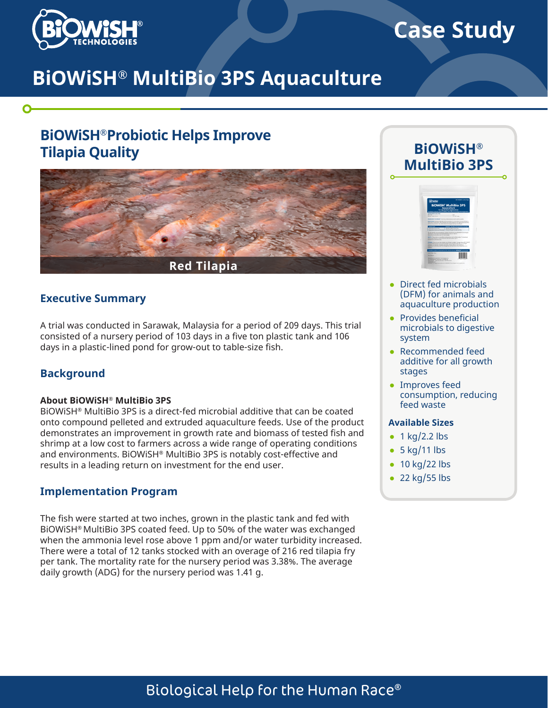

# **Case Study**

# **BiOWiSH® MultiBio 3PS Aquaculture**

# **BiOWiSH®Probiotic Helps Improve Tilapia Quality**



### **Executive Summary**

A trial was conducted in Sarawak, Malaysia for a period of 209 days. This trial consisted of a nursery period of 103 days in a five ton plastic tank and 106 days in a plastic-lined pond for grow-out to table-size fish.

## **Background**

#### **About BiOWiSH® MultiBio 3PS**

BiOWiSH® MultiBio 3PS is a direct-fed microbial additive that can be coated onto compound pelleted and extruded aquaculture feeds. Use of the product demonstrates an improvement in growth rate and biomass of tested fish and shrimp at a low cost to farmers across a wide range of operating conditions and environments. BiOWiSH® MultiBio 3PS is notably cost-effective and results in a leading return on investment for the end user.

## **Implementation Program**

The fish were started at two inches, grown in the plastic tank and fed with BiOWiSH® MultiBio 3PS coated feed. Up to 50% of the water was exchanged when the ammonia level rose above 1 ppm and/or water turbidity increased. There were a total of 12 tanks stocked with an overage of 216 red tilapia fry per tank. The mortality rate for the nursery period was 3.38%. The average daily growth (ADG) for the nursery period was 1.41 g.





- Direct fed microbials (DFM) for animals and aquaculture production
- Provides beneficial microbials to digestive system
- Recommended feed additive for all growth stages
- Improves feed consumption, reducing feed waste

#### **Available Sizes**

- $\bullet$  1 kg/2.2 lbs
- $\bullet$  5 kg/11 lbs
- $\cdot$  10 kg/22 lbs
- $\cdot$  22 kg/55 lbs

# Biological Help for the Human Race®